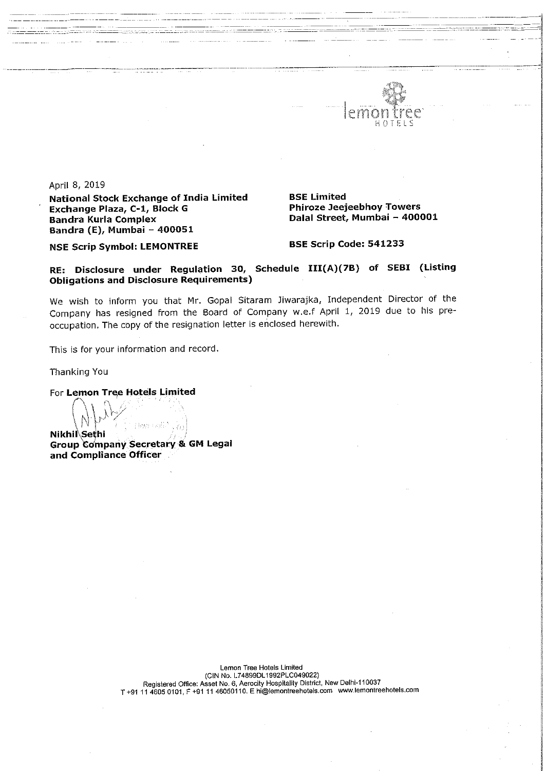

April 8, 2019

National Stock Exchange of India Limited BSE Limited<br>Exchange Plaza, C-1, Block G BR Phiroze Jeejeebhoy Towers Exchange Plaza, C-1, Block G<br>Bandra Kurla Complex Bandra Kurla Complex Dalal Street, Mumbai - 400001 Bandra (E), Mumbai — 400051

NSE Scrip Symbol: LEMONTREE BSE Scrip Code: 541233

RE: Disclosure under Regulation 30, Schedule III(A)(7B) of SEBI (Listing \ Obligations and Disclosure Requirements)

We wish to inform you that Mr. Gopal Sitaram Jiwarajka, Independent Director of the Company has resigned from the Board of Company w.e.f April 1, <sup>2019</sup> due to his preoccupation. The copy of the resignation letter is enclosed herewith.

This is for your information and record.

Thanking You

For Lemon Tree Hotels Limited

Nikhil<sup>\</sup>Sethi Nikhii Sethi<br>Crown Company Secretary & Aeste i Atili Group Company Secretary & GM Legal and Compliance Officer

> Lemon Tree Hotels Limited CIN No. L74899DL1992PLC049022)<br>Registered Office: Asset No. 6, Aerocity Hospitality District, New Delhi-110037<br>T +91 11 4605 0101, F +91 11 46050110. E hi@lemontreehotels.com www.lemontreehotels.com